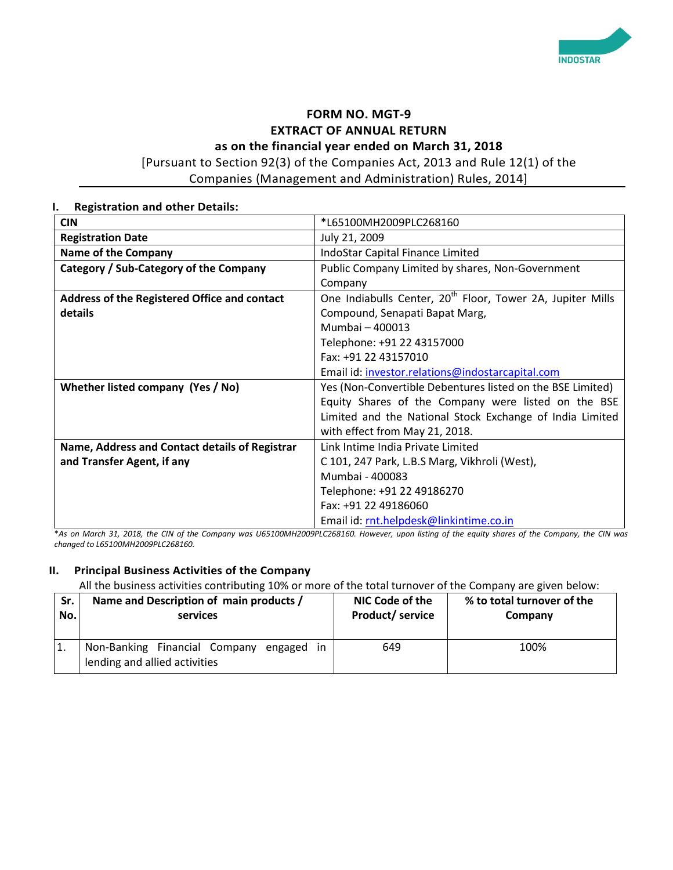

# **FORM NO. MGT-9 EXTRACT OF ANNUAL RETURN**

**as on the financial year ended on March 31, 2018**

[Pursuant to Section 92(3) of the Companies Act, 2013 and Rule 12(1) of the Companies (Management and Administration) Rules, 2014]

| <b>Registration and other Details:</b><br>ı.   |                                                                        |
|------------------------------------------------|------------------------------------------------------------------------|
| <b>CIN</b>                                     | *L65100MH2009PLC268160                                                 |
| <b>Registration Date</b>                       | July 21, 2009                                                          |
| <b>Name of the Company</b>                     | IndoStar Capital Finance Limited                                       |
| Category / Sub-Category of the Company         | Public Company Limited by shares, Non-Government                       |
|                                                | Company                                                                |
| Address of the Registered Office and contact   | One Indiabulls Center, 20 <sup>th</sup> Floor, Tower 2A, Jupiter Mills |
| details                                        | Compound, Senapati Bapat Marg,                                         |
|                                                | Mumbai - 400013                                                        |
|                                                | Telephone: +91 22 43157000                                             |
|                                                | Fax: +91 22 43157010                                                   |
|                                                | Email id: investor.relations@indostarcapital.com                       |
| Whether listed company (Yes / No)              | Yes (Non-Convertible Debentures listed on the BSE Limited)             |
|                                                | Equity Shares of the Company were listed on the BSE                    |
|                                                | Limited and the National Stock Exchange of India Limited               |
|                                                | with effect from May 21, 2018.                                         |
| Name, Address and Contact details of Registrar | Link Intime India Private Limited                                      |
| and Transfer Agent, if any                     | C 101, 247 Park, L.B.S Marg, Vikhroli (West),                          |
|                                                | Mumbai - 400083                                                        |
|                                                | Telephone: +91 22 49186270                                             |
|                                                | Fax: +91 22 49186060                                                   |
|                                                | Email id: rnt.helpdesk@linkintime.co.in                                |

\**As on March 31, 2018, the CIN of the Company was U65100MH2009PLC268160. However, upon listing of the equity shares of the Company, the CIN was changed to L65100MH2009PLC268160.*

#### **II. Principal Business Activities of the Company**

All the business activities contributing 10% or more of the total turnover of the Company are given below:

| Sr. | Name and Description of main products /                                       | NIC Code of the  | % to total turnover of the |
|-----|-------------------------------------------------------------------------------|------------------|----------------------------|
| No. | <b>services</b>                                                               | Product/ service | Company                    |
|     | Non-Banking Financial Company engaged<br>in.<br>lending and allied activities | 649              | 100%                       |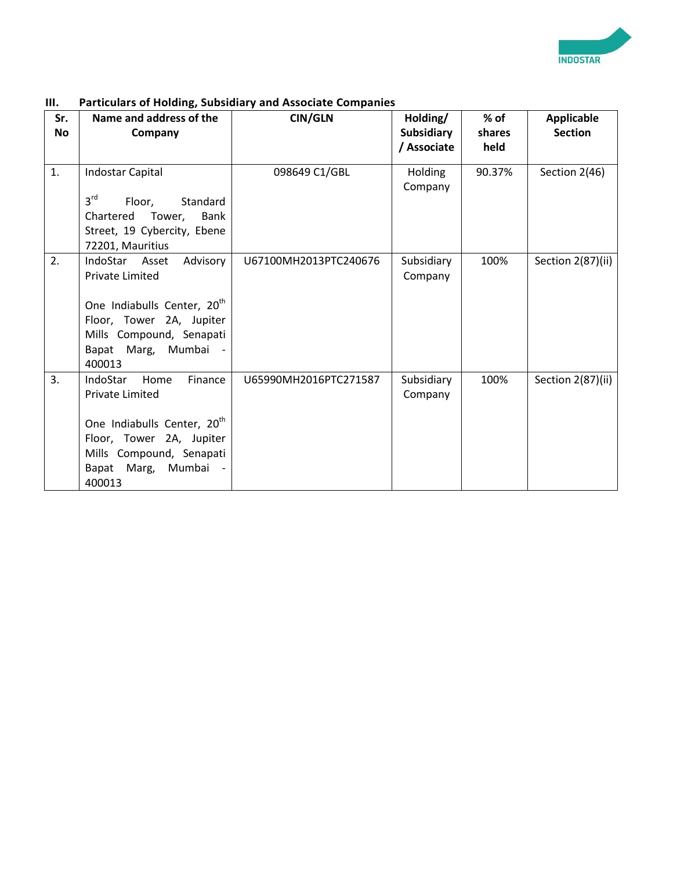

| Sr.<br><b>No</b> | Name and address of the<br>Company                                                                                                                                                             | <b>CIN/GLN</b>        | Holding/<br><b>Subsidiary</b><br>/ Associate | $%$ of<br>shares<br>held | <b>Applicable</b><br><b>Section</b> |
|------------------|------------------------------------------------------------------------------------------------------------------------------------------------------------------------------------------------|-----------------------|----------------------------------------------|--------------------------|-------------------------------------|
| 1.               | Indostar Capital<br>3 <sup>rd</sup><br>Standard<br>Floor,<br>Chartered<br>Tower,<br>Bank<br>Street, 19 Cybercity, Ebene<br>72201, Mauritius                                                    | 098649 C1/GBL         | Holding<br>Company                           | 90.37%                   | Section 2(46)                       |
| 2.               | IndoStar Asset<br>Advisory<br><b>Private Limited</b><br>One Indiabulls Center, 20 <sup>th</sup><br>Floor, Tower 2A, Jupiter<br>Mills Compound, Senapati<br>Bapat Marg, Mumbai<br>400013        | U67100MH2013PTC240676 | Subsidiary<br>Company                        | 100%                     | Section 2(87)(ii)                   |
| 3.               | IndoStar<br>Home<br>Finance<br><b>Private Limited</b><br>One Indiabulls Center, 20 <sup>th</sup><br>Floor, Tower 2A, Jupiter<br>Mills Compound, Senapati<br>Marg,<br>Mumbai<br>Bapat<br>400013 | U65990MH2016PTC271587 | Subsidiary<br>Company                        | 100%                     | Section 2(87)(ii)                   |

### **III. Particulars of Holding, Subsidiary and Associate Companies**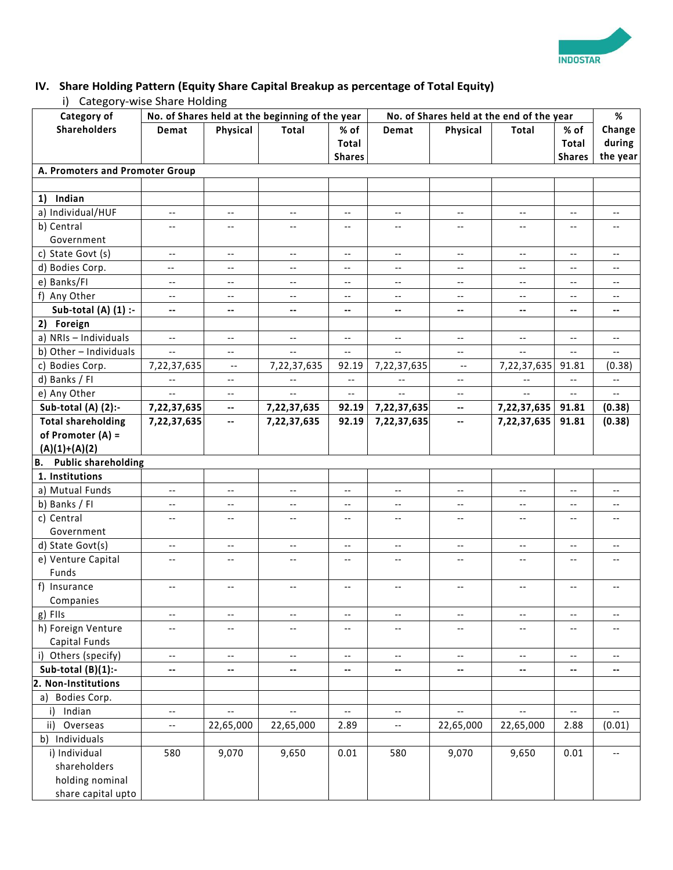

# **IV. Share Holding Pattern (Equity Share Capital Breakup as percentage of Total Equity)**

i) Category-wise Share Holding

| Category of                             |                          |                            | No. of Shares held at the beginning of the year |                            | No. of Shares held at the end of the year |                            |                          | %                          |                            |
|-----------------------------------------|--------------------------|----------------------------|-------------------------------------------------|----------------------------|-------------------------------------------|----------------------------|--------------------------|----------------------------|----------------------------|
| <b>Shareholders</b>                     | Demat                    | Physical                   | Total                                           | % of                       | Demat                                     | Physical                   | Total                    | % of                       | Change                     |
|                                         |                          |                            |                                                 | <b>Total</b>               |                                           |                            |                          | Total                      | during                     |
|                                         |                          |                            |                                                 | <b>Shares</b>              |                                           |                            |                          | <b>Shares</b>              | the year                   |
| A. Promoters and Promoter Group         |                          |                            |                                                 |                            |                                           |                            |                          |                            |                            |
|                                         |                          |                            |                                                 |                            |                                           |                            |                          |                            |                            |
| 1) Indian                               |                          |                            |                                                 |                            |                                           |                            |                          |                            |                            |
| a) Individual/HUF                       | $\overline{\phantom{a}}$ | $\overline{\phantom{m}}$   | $\overline{\phantom{a}}$                        | $-\,-$                     | $\overline{\phantom{a}}$                  | $\overline{\phantom{a}}$   | $-\,-$                   | $\overline{\phantom{m}}$   | $-$                        |
| b) Central                              | $\overline{\phantom{a}}$ | $\qquad \qquad -$          | $- -$                                           | $\overline{\phantom{a}}$   | $-$                                       | $\overline{\phantom{a}}$ . | $\overline{\phantom{a}}$ | $\overline{\phantom{a}}$ . | $\overline{\phantom{a}}$ . |
| Government                              |                          |                            |                                                 |                            |                                           |                            |                          |                            |                            |
| c) State Govt (s)                       | $\overline{\phantom{a}}$ | $-\,-$                     | $\overline{\phantom{a}}$                        | $\overline{\phantom{m}}$   | $\overline{\phantom{a}}$                  | $\overline{\phantom{a}}$   | $-\, -$                  | $-\, -$                    | $-\,-$                     |
| d) Bodies Corp.                         | $\overline{\phantom{a}}$ | $-\, -$                    | $\overline{\phantom{a}}$                        | $-\hbox{--}$               | $\overline{\phantom{a}}$                  | $\overline{\phantom{a}}$   | $\overline{\phantom{a}}$ | $\overline{\phantom{a}}$   | $\overline{\phantom{a}}$   |
| e) Banks/FI                             | $\overline{\phantom{a}}$ | $\overline{\phantom{a}}$   | $\overline{\phantom{m}}$                        | $\overline{\phantom{a}}$   | $\overline{\phantom{a}}$                  | $\overline{\phantom{a}}$   | $\overline{\phantom{a}}$ | $\overline{\phantom{a}}$   | $\overline{\phantom{a}}$   |
| f) Any Other                            | $\overline{\phantom{a}}$ | $\overline{\phantom{a}}$   | $-$                                             | $\overline{\phantom{a}}$   | $- -$                                     | $\overline{\phantom{a}}$   | $\overline{\phantom{a}}$ | $\overline{\phantom{a}}$ . | $\overline{\phantom{a}}$   |
| Sub-total (A) $(1)$ :-                  | $\overline{\phantom{a}}$ | --                         | $\overline{\phantom{a}}$                        | $\overline{\phantom{a}}$   | $\overline{\phantom{a}}$                  | --                         | $\overline{\phantom{a}}$ | $\mathbf{H}$               | $\overline{\phantom{a}}$   |
| 2) Foreign                              |                          |                            |                                                 |                            |                                           |                            |                          |                            |                            |
| a) NRIs - Individuals                   | $\overline{\phantom{a}}$ | $\overline{\phantom{a}}$   | $\overline{\phantom{a}}$                        | $\overline{\phantom{a}}$   | $\overline{\phantom{a}}$                  | $\overline{\phantom{a}}$ . | $\overline{\phantom{a}}$ | $\overline{\phantom{a}}$   | $\overline{\phantom{a}}$   |
| b) Other - Individuals                  | $\overline{\phantom{a}}$ | $\qquad \qquad -$          | $\overline{\phantom{a}}$                        | $\overline{\phantom{a}}$   | $-$                                       | $\overline{\phantom{a}}$   | $\overline{\phantom{a}}$ | $- -$                      |                            |
| c) Bodies Corp.                         | 7,22,37,635              | $\overline{\phantom{a}}$   | 7,22,37,635                                     | 92.19                      | 7,22,37,635                               | $\overline{\phantom{m}}$   | 7,22,37,635              | 91.81                      | (0.38)                     |
| d) Banks / FI                           | $\overline{\phantom{a}}$ | --                         | $\overline{\phantom{a}}$                        | --                         | $\overline{\phantom{a}}$                  | $\overline{\phantom{a}}$   | $\overline{\phantom{a}}$ | $\overline{\phantom{a}}$   | $\overline{\phantom{a}}$   |
| e) Any Other                            | $\overline{\phantom{a}}$ | $\overline{\phantom{m}}$   | $\overline{\phantom{a}}$                        | $\overline{\phantom{a}}$   | $\overline{\phantom{m}}$                  | $\overline{\phantom{a}}$   | $\overline{\phantom{a}}$ | $\overline{\phantom{a}}$   | $- -$                      |
| Sub-total (A) $(2)$ :-                  | 7,22,37,635              | $\overline{\phantom{a}}$   | 7,22,37,635                                     | 92.19                      | 7,22,37,635                               | $\overline{\phantom{a}}$   | 7,22,37,635              | 91.81                      | (0.38)                     |
| <b>Total shareholding</b>               | 7,22,37,635              | $\overline{\phantom{a}}$   | 7,22,37,635                                     | 92.19                      | 7,22,37,635                               | $\overline{\phantom{a}}$   | 7,22,37,635              | 91.81                      | (0.38)                     |
| of Promoter (A) =                       |                          |                            |                                                 |                            |                                           |                            |                          |                            |                            |
| $(A)(1)+(A)(2)$                         |                          |                            |                                                 |                            |                                           |                            |                          |                            |                            |
| <b>Public shareholding</b><br><b>B.</b> |                          |                            |                                                 |                            |                                           |                            |                          |                            |                            |
| 1. Institutions                         |                          |                            |                                                 |                            |                                           |                            |                          |                            |                            |
| a) Mutual Funds                         | $\overline{\phantom{a}}$ | $\overline{\phantom{a}}$   | $\overline{\phantom{a}}$                        | $\overline{\phantom{a}}$   | $\overline{\phantom{a}}$                  | $\overline{\phantom{a}}$   | $\overline{\phantom{a}}$ | $\overline{\phantom{a}}$   |                            |
| b) Banks / FI                           | $\overline{\phantom{a}}$ | $-\,-$                     | $\overline{\phantom{a}}$                        | $\overline{\phantom{a}}$   | $\overline{\phantom{a}}$                  | $\qquad \qquad -$          | $\overline{\phantom{m}}$ | $\overline{\phantom{m}}$   | $\overline{\phantom{a}}$   |
| c) Central                              | $\overline{\phantom{a}}$ | $\overline{\phantom{a}}$   | $\overline{\phantom{a}}$                        | $\overline{\phantom{a}}$   | $\overline{\phantom{a}}$                  | $\overline{\phantom{a}}$   | $\overline{\phantom{a}}$ | $\overline{\phantom{a}}$   | $\overline{\phantom{a}}$   |
| Government                              |                          |                            |                                                 |                            |                                           |                            |                          |                            |                            |
| d) State Govt(s)                        | $\overline{\phantom{a}}$ | $\overline{\phantom{a}}$   | $\overline{\phantom{a}}$                        | $\overline{\phantom{a}}$   | $\overline{\phantom{a}}$                  | $\overline{\phantom{a}}$   | $\overline{\phantom{a}}$ | $\overline{\phantom{a}}$   | $\overline{\phantom{a}}$   |
| e) Venture Capital                      | $\overline{\phantom{a}}$ | $\overline{\phantom{m}}$ . | $\overline{\phantom{a}}$                        | $-\,-$                     | $-$                                       | $\overline{\phantom{a}}$ . | $\overline{\phantom{a}}$ | $\overline{\phantom{a}}$ . | $\overline{\phantom{a}}$   |
| Funds                                   |                          |                            |                                                 |                            |                                           |                            |                          |                            |                            |
| f) Insurance                            | $\overline{\phantom{a}}$ | $\overline{\phantom{m}}$ . | $-$                                             | $\overline{\phantom{a}}$ . | $\overline{\phantom{a}}$                  | $-$                        | $\overline{\phantom{a}}$ | $\overline{\phantom{a}}$   | $\overline{\phantom{a}}$ . |
| Companies                               |                          |                            |                                                 |                            |                                           |                            |                          |                            |                            |
| g) FIIs                                 | $\overline{\phantom{a}}$ | $\overline{\phantom{a}}$   | $\overline{\phantom{a}}$                        | $\overline{\phantom{a}}$   | $\overline{\phantom{a}}$                  | $-\, -$                    | $\overline{\phantom{m}}$ | $\overline{\phantom{m}}$   | $\overline{\phantom{a}}$   |
| h) Foreign Venture                      | $\overline{\phantom{a}}$ | $\overline{\phantom{m}}$ . | $\overline{\phantom{a}}$                        | $\overline{\phantom{a}}$   | --                                        | $\overline{\phantom{a}}$   | $\overline{\phantom{a}}$ | $\overline{\phantom{a}}$   |                            |
| Capital Funds                           |                          |                            |                                                 |                            |                                           |                            |                          |                            |                            |
| i) Others (specify)                     | $\overline{\phantom{a}}$ | $\overline{\phantom{a}}$   | $\overline{\phantom{a}}$                        | $\overline{\phantom{a}}$   | $\overline{\phantom{a}}$                  | $\overline{\phantom{a}}$   | $\overline{\phantom{a}}$ | $\overline{\phantom{a}}$   | $\overline{\phantom{a}}$   |
| Sub-total $(B)(1)$ :-                   | --                       | $\overline{\phantom{a}}$   | $\overline{\phantom{a}}$                        | $\overline{\phantom{a}}$   | н,                                        | $\overline{\phantom{a}}$   | $\overline{\phantom{a}}$ | $\overline{\phantom{a}}$   | -−                         |
| 2. Non-Institutions                     |                          |                            |                                                 |                            |                                           |                            |                          |                            |                            |
| a) Bodies Corp.                         |                          |                            |                                                 |                            |                                           |                            |                          |                            |                            |
| Indian<br>$\mathbf{i}$                  | $\overline{\phantom{a}}$ | $\overline{\phantom{a}}$   | $\overline{\phantom{a}}$                        | $\overline{\phantom{a}}$   | $\overline{\phantom{a}}$                  | $\overline{\phantom{a}}$   | $\overline{\phantom{a}}$ | $\overline{\phantom{a}}$   | $\overline{\phantom{a}}$   |
| ii)<br>Overseas                         | $\overline{\phantom{a}}$ | 22,65,000                  | 22,65,000                                       | 2.89                       | --                                        | 22,65,000                  | 22,65,000                | 2.88                       | (0.01)                     |
| b) Individuals                          |                          |                            |                                                 |                            |                                           |                            |                          |                            |                            |
| i) Individual                           | 580                      | 9,070                      | 9,650                                           | 0.01                       | 580                                       | 9,070                      | 9,650                    | 0.01                       |                            |
| shareholders                            |                          |                            |                                                 |                            |                                           |                            |                          |                            |                            |
| holding nominal                         |                          |                            |                                                 |                            |                                           |                            |                          |                            |                            |
| share capital upto                      |                          |                            |                                                 |                            |                                           |                            |                          |                            |                            |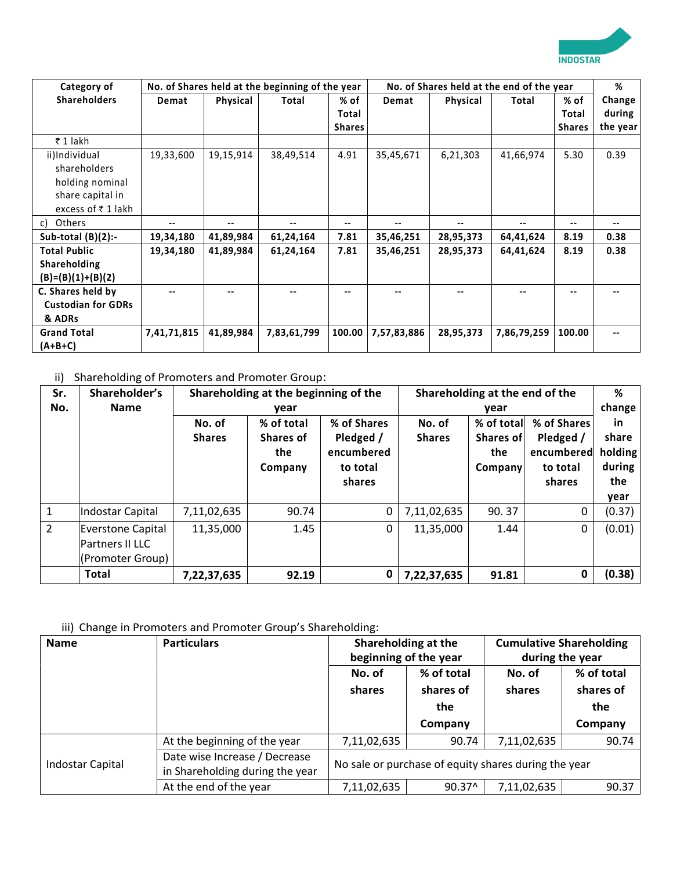

| Category of               |                   |                   | No. of Shares held at the beginning of the year |                          |             |                   | No. of Shares held at the end of the year |               | %        |
|---------------------------|-------------------|-------------------|-------------------------------------------------|--------------------------|-------------|-------------------|-------------------------------------------|---------------|----------|
| <b>Shareholders</b>       | Demat             | Physical          | Total                                           | % of                     | Demat       | Physical          | Total                                     | % of          | Change   |
|                           |                   |                   |                                                 | Total                    |             |                   |                                           | Total         | during   |
|                           |                   |                   |                                                 | <b>Shares</b>            |             |                   |                                           | <b>Shares</b> | the year |
| ₹1 lakh                   |                   |                   |                                                 |                          |             |                   |                                           |               |          |
| ii)Individual             | 19,33,600         | 19,15,914         | 38,49,514                                       | 4.91                     | 35,45,671   | 6,21,303          | 41,66,974                                 | 5.30          | 0.39     |
| shareholders              |                   |                   |                                                 |                          |             |                   |                                           |               |          |
| holding nominal           |                   |                   |                                                 |                          |             |                   |                                           |               |          |
| share capital in          |                   |                   |                                                 |                          |             |                   |                                           |               |          |
| excess of ₹1 lakh         |                   |                   |                                                 |                          |             |                   |                                           |               |          |
| Others<br>C)              | $\qquad \qquad -$ | $\qquad \qquad -$ |                                                 | $\overline{\phantom{a}}$ |             | $\qquad \qquad -$ |                                           | --            |          |
| Sub-total $(B)(2)$ :-     | 19,34,180         | 41,89,984         | 61,24,164                                       | 7.81                     | 35,46,251   | 28,95,373         | 64,41,624                                 | 8.19          | 0.38     |
| <b>Total Public</b>       | 19,34,180         | 41,89,984         | 61,24,164                                       | 7.81                     | 35,46,251   | 28,95,373         | 64,41,624                                 | 8.19          | 0.38     |
| Shareholding              |                   |                   |                                                 |                          |             |                   |                                           |               |          |
| $(B)=(B)(1)+(B)(2)$       |                   |                   |                                                 |                          |             |                   |                                           |               |          |
| C. Shares held by         |                   | --                |                                                 |                          |             |                   |                                           |               |          |
| <b>Custodian for GDRs</b> |                   |                   |                                                 |                          |             |                   |                                           |               |          |
| & ADRs                    |                   |                   |                                                 |                          |             |                   |                                           |               |          |
| <b>Grand Total</b>        | 7,41,71,815       | 41,89,984         | 7,83,61,799                                     | 100.00                   | 7,57,83,886 | 28,95,373         | 7,86,79,259                               | 100.00        |          |
| (A+B+C)                   |                   |                   |                                                 |                          |             |                   |                                           |               |          |

## ii) Shareholding of Promoters and Promoter Group:

| Sr.<br>No.     | Shareholder's<br><b>Name</b>                                    |                         | Shareholding at the beginning of the<br>year     |                                                              |                         | Shareholding at the end of the                    |                                                              |                                                           |
|----------------|-----------------------------------------------------------------|-------------------------|--------------------------------------------------|--------------------------------------------------------------|-------------------------|---------------------------------------------------|--------------------------------------------------------------|-----------------------------------------------------------|
|                |                                                                 | No. of<br><b>Shares</b> | % of total<br><b>Shares of</b><br>the<br>Company | % of Shares<br>Pledged /<br>encumbered<br>to total<br>shares | No. of<br><b>Shares</b> | year<br>% of total<br>Shares of<br>the<br>Company | % of Shares<br>Pledged /<br>encumbered<br>to total<br>shares | change<br>in<br>share<br>holding<br>during<br>the<br>year |
| $\mathbf{1}$   | Indostar Capital                                                | 7,11,02,635             | 90.74                                            | 0                                                            | 7,11,02,635             | 90.37                                             | 0                                                            | (0.37)                                                    |
| $\overline{2}$ | <b>Everstone Capital</b><br>Partners II LLC<br>(Promoter Group) | 11,35,000               | 1.45                                             | 0                                                            | 11,35,000               | 1.44                                              | $\pmb{0}$                                                    | (0.01)                                                    |
|                | <b>Total</b>                                                    | 7,22,37,635             | 92.19                                            | 0                                                            | 7,22,37,635             | 91.81                                             | 0                                                            | (0.38)                                                    |

### iii) Change in Promoters and Promoter Group's Shareholding:

| <b>Name</b>      | <b>Particulars</b>                                               | Shareholding at the   |                 | <b>Cumulative Shareholding</b>                       |            |
|------------------|------------------------------------------------------------------|-----------------------|-----------------|------------------------------------------------------|------------|
|                  |                                                                  | beginning of the year |                 | during the year                                      |            |
|                  |                                                                  | % of total<br>No. of  |                 | No. of                                               | % of total |
|                  |                                                                  | shares                | shares of       | shares                                               | shares of  |
|                  |                                                                  | the                   |                 |                                                      | the        |
|                  |                                                                  |                       | Company         |                                                      | Company    |
|                  | At the beginning of the year                                     | 7,11,02,635           | 90.74           | 7,11,02,635                                          | 90.74      |
| Indostar Capital | Date wise Increase / Decrease<br>in Shareholding during the year |                       |                 | No sale or purchase of equity shares during the year |            |
|                  | At the end of the year                                           | 7,11,02,635           | $90.37^{\circ}$ | 7,11,02,635                                          | 90.37      |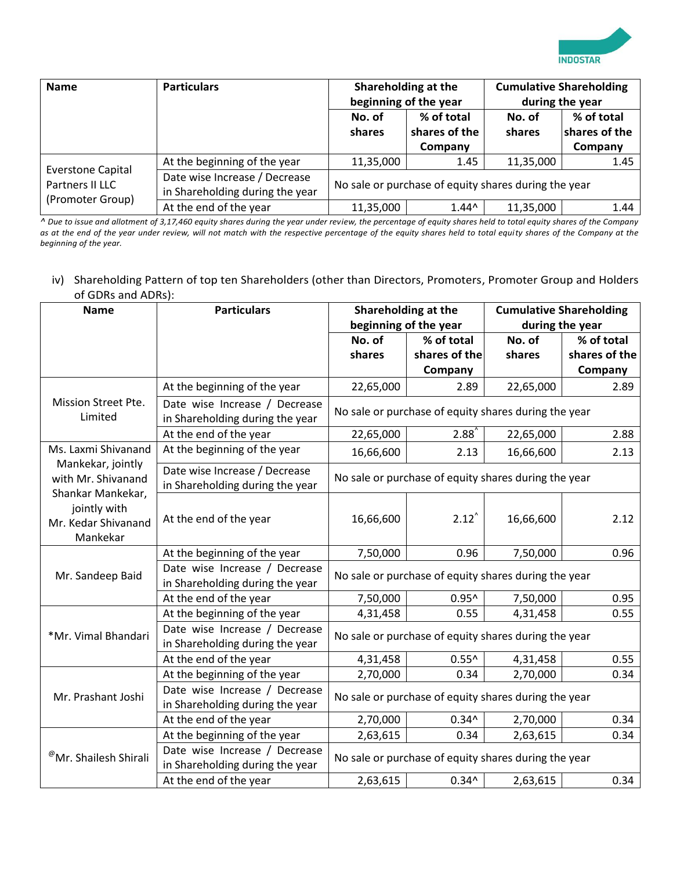

| <b>Name</b>                                                     | <b>Particulars</b>                                               |                         | Shareholding at the<br>beginning of the year         | <b>Cumulative Shareholding</b><br>during the year |               |  |
|-----------------------------------------------------------------|------------------------------------------------------------------|-------------------------|------------------------------------------------------|---------------------------------------------------|---------------|--|
|                                                                 |                                                                  | No. of                  | % of total                                           | No. of                                            | % of total    |  |
|                                                                 |                                                                  | shares of the<br>shares |                                                      | shares                                            | shares of the |  |
|                                                                 |                                                                  |                         | Company                                              |                                                   | Company       |  |
|                                                                 | At the beginning of the year                                     | 11,35,000               | 1.45                                                 | 11,35,000                                         | 1.45          |  |
| <b>Everstone Capital</b><br>Partners II LLC<br>(Promoter Group) | Date wise Increase / Decrease<br>in Shareholding during the year |                         | No sale or purchase of equity shares during the year |                                                   |               |  |
|                                                                 | At the end of the year                                           | 11,35,000               | $1.44^{\circ}$                                       | 11,35,000                                         | 1.44          |  |

*^ Due to issue and allotment of 3,17,460 equity shares during the year under review, the percentage of equity shares held to total equity shares of the Company as at the end of the year under review, will not match with the respective percentage of the equity shares held to total equity shares of the Company at the beginning of the year.* 

### iv) Shareholding Pattern of top ten Shareholders (other than Directors, Promoters, Promoter Group and Holders of GDRs and ADRs):

| <b>Name</b>                                                                                                     | <b>Particulars</b>                                               |                                                      | Shareholding at the                                  |                 | <b>Cumulative Shareholding</b> |  |
|-----------------------------------------------------------------------------------------------------------------|------------------------------------------------------------------|------------------------------------------------------|------------------------------------------------------|-----------------|--------------------------------|--|
|                                                                                                                 |                                                                  |                                                      | beginning of the year                                | during the year |                                |  |
|                                                                                                                 |                                                                  | No. of                                               | % of total                                           | No. of          | % of total                     |  |
|                                                                                                                 |                                                                  | shares                                               | shares of the                                        | shares          | shares of the                  |  |
|                                                                                                                 |                                                                  |                                                      | Company                                              |                 | Company                        |  |
|                                                                                                                 | At the beginning of the year                                     | 22,65,000                                            | 2.89                                                 | 22,65,000       | 2.89                           |  |
| Mission Street Pte.<br>Limited                                                                                  | Date wise Increase / Decrease<br>in Shareholding during the year |                                                      | No sale or purchase of equity shares during the year |                 |                                |  |
|                                                                                                                 | At the end of the year                                           | 22,65,000                                            | $2.88^{\degree}$                                     | 22,65,000       | 2.88                           |  |
| Ms. Laxmi Shivanand                                                                                             | At the beginning of the year                                     | 16,66,600                                            | 2.13                                                 | 16,66,600       | 2.13                           |  |
| Mankekar, jointly<br>with Mr. Shivanand<br>Shankar Mankekar,<br>jointly with<br>Mr. Kedar Shivanand<br>Mankekar | Date wise Increase / Decrease<br>in Shareholding during the year |                                                      | No sale or purchase of equity shares during the year |                 |                                |  |
|                                                                                                                 | At the end of the year                                           | 16,66,600                                            | $2.12^{\circ}$                                       | 16,66,600       | 2.12                           |  |
|                                                                                                                 | At the beginning of the year                                     | 7,50,000                                             | 0.96                                                 | 7,50,000        | 0.96                           |  |
| Mr. Sandeep Baid                                                                                                | Date wise Increase / Decrease<br>in Shareholding during the year | No sale or purchase of equity shares during the year |                                                      |                 |                                |  |
|                                                                                                                 | At the end of the year                                           | 7,50,000                                             | $0.95^$                                              | 7,50,000        | 0.95                           |  |
|                                                                                                                 | At the beginning of the year                                     | 4,31,458                                             | 0.55                                                 | 4,31,458        | 0.55                           |  |
| *Mr. Vimal Bhandari                                                                                             | Date wise Increase / Decrease<br>in Shareholding during the year |                                                      | No sale or purchase of equity shares during the year |                 |                                |  |
|                                                                                                                 | At the end of the year                                           | 4,31,458                                             | $0.55^{\text{A}}$                                    | 4,31,458        | 0.55                           |  |
|                                                                                                                 | At the beginning of the year                                     | 2,70,000                                             | 0.34                                                 | 2,70,000        | 0.34                           |  |
| Mr. Prashant Joshi                                                                                              | Date wise Increase / Decrease<br>in Shareholding during the year |                                                      | No sale or purchase of equity shares during the year |                 |                                |  |
|                                                                                                                 | At the end of the year                                           | 2,70,000                                             | $0.34^$                                              | 2,70,000        | 0.34                           |  |
|                                                                                                                 | At the beginning of the year                                     | 2,63,615                                             | 0.34                                                 | 2,63,615        | 0.34                           |  |
| <sup>@</sup> Mr. Shailesh Shirali                                                                               | Date wise Increase / Decrease<br>in Shareholding during the year |                                                      | No sale or purchase of equity shares during the year |                 |                                |  |
|                                                                                                                 | At the end of the year                                           | 2,63,615                                             | $0.34^$                                              | 2,63,615        | 0.34                           |  |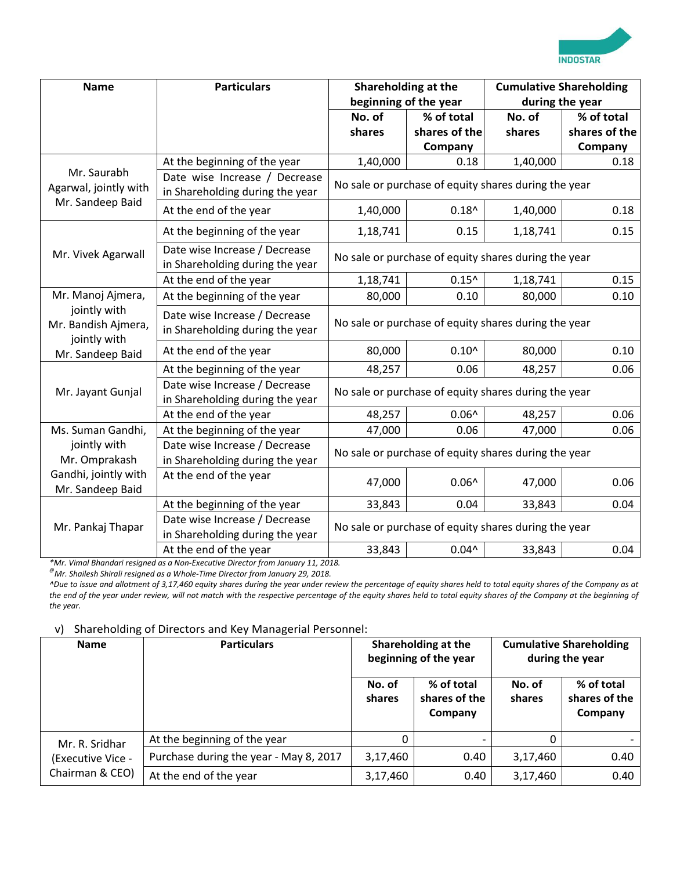

| <b>Name</b>                                         | <b>Particulars</b>                                               | Shareholding at the                                  | beginning of the year                                |                  | <b>Cumulative Shareholding</b><br>during the year |
|-----------------------------------------------------|------------------------------------------------------------------|------------------------------------------------------|------------------------------------------------------|------------------|---------------------------------------------------|
|                                                     |                                                                  | No. of<br>shares                                     | % of total<br>shares of the<br>Company               | No. of<br>shares | % of total<br>shares of the<br>Company            |
|                                                     | At the beginning of the year                                     | 1,40,000                                             | 0.18                                                 | 1,40,000         | 0.18                                              |
| Mr. Saurabh<br>Agarwal, jointly with                | Date wise Increase / Decrease<br>in Shareholding during the year |                                                      | No sale or purchase of equity shares during the year |                  |                                                   |
| Mr. Sandeep Baid                                    | At the end of the year                                           | 1,40,000                                             | $0.18^$                                              | 1,40,000         | 0.18                                              |
|                                                     | At the beginning of the year                                     | 1,18,741                                             | 0.15                                                 | 1,18,741         | 0.15                                              |
| Mr. Vivek Agarwall                                  | Date wise Increase / Decrease<br>in Shareholding during the year |                                                      | No sale or purchase of equity shares during the year |                  |                                                   |
|                                                     | At the end of the year                                           | 1,18,741                                             | $0.15^{\prime}$                                      | 1,18,741         | 0.15                                              |
| Mr. Manoj Ajmera,                                   | At the beginning of the year                                     | 80,000                                               | 0.10                                                 | 80,000           | 0.10                                              |
| jointly with<br>Mr. Bandish Ajmera,<br>jointly with | Date wise Increase / Decrease<br>in Shareholding during the year | No sale or purchase of equity shares during the year |                                                      |                  |                                                   |
| Mr. Sandeep Baid                                    | At the end of the year                                           | 80,000                                               | $0.10^$                                              | 80,000           | 0.10                                              |
|                                                     | At the beginning of the year                                     | 48,257                                               | 0.06                                                 | 48,257           | 0.06                                              |
| Mr. Jayant Gunjal                                   | Date wise Increase / Decrease<br>in Shareholding during the year |                                                      | No sale or purchase of equity shares during the year |                  |                                                   |
|                                                     | At the end of the year                                           | 48,257                                               | $0.06^$                                              | 48,257           | 0.06                                              |
| Ms. Suman Gandhi,                                   | At the beginning of the year                                     | 47,000                                               | 0.06                                                 | 47,000           | 0.06                                              |
| jointly with<br>Mr. Omprakash                       | Date wise Increase / Decrease<br>in Shareholding during the year |                                                      | No sale or purchase of equity shares during the year |                  |                                                   |
| Gandhi, jointly with<br>Mr. Sandeep Baid            | At the end of the year                                           | 47,000                                               | $0.06^$                                              | 47,000           | 0.06                                              |
|                                                     | At the beginning of the year                                     | 33,843                                               | 0.04                                                 | 33,843           | 0.04                                              |
| Mr. Pankaj Thapar                                   | Date wise Increase / Decrease<br>in Shareholding during the year |                                                      | No sale or purchase of equity shares during the year |                  |                                                   |
|                                                     | At the end of the year                                           | 33,843                                               | $0.04^{\prime}$                                      | 33,843           | 0.04                                              |

*\*Mr. Vimal Bhandari resigned as a Non-Executive Director from January 11, 2018.*

*@Mr. Shailesh Shirali resigned as a Whole-Time Director from January 29, 2018.*

*^Due to issue and allotment of 3,17,460 equity shares during the year under review the percentage of equity shares held to total equity shares of the Company as at the end of the year under review, will not match with the respective percentage of the equity shares held to total equity shares of the Company at the beginning of the year.* 

#### v) Shareholding of Directors and Key Managerial Personnel:

| <b>Name</b>              | <b>Particulars</b>                     |                  | Shareholding at the<br>beginning of the year |                  | <b>Cumulative Shareholding</b><br>during the year |
|--------------------------|----------------------------------------|------------------|----------------------------------------------|------------------|---------------------------------------------------|
|                          |                                        | No. of<br>shares | % of total<br>shares of the<br>Company       | No. of<br>shares | % of total<br>shares of the<br>Company            |
| Mr. R. Sridhar           | At the beginning of the year           |                  |                                              |                  |                                                   |
| <b>(Executive Vice -</b> | Purchase during the year - May 8, 2017 | 3,17,460         | 0.40                                         | 3,17,460         | 0.40                                              |
| Chairman & CEO)          | At the end of the year                 | 3,17,460         | 0.40                                         | 3,17,460         | 0.40                                              |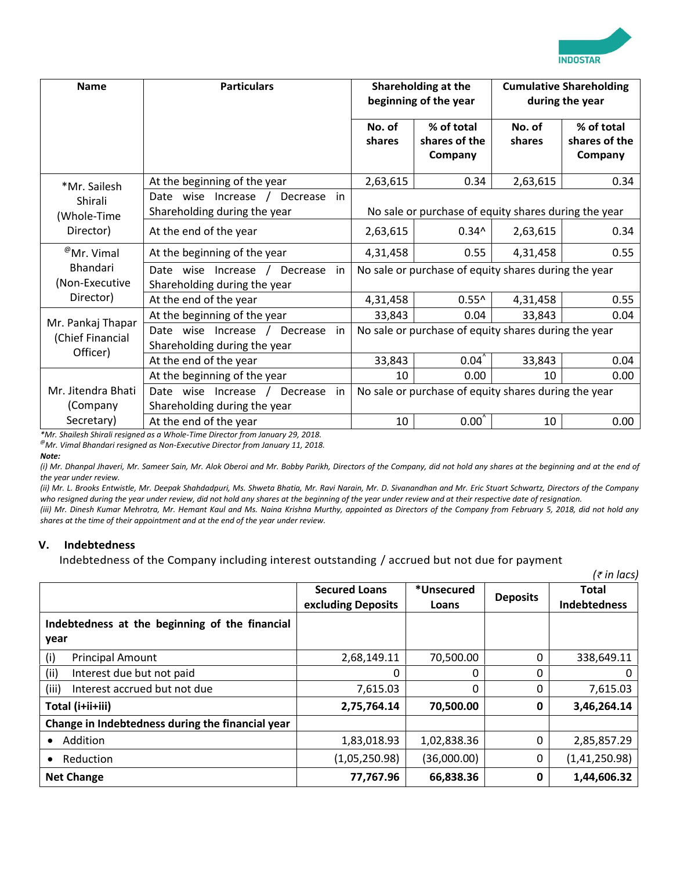

| <b>Name</b>                           | <b>Particulars</b>                                                            |                  | Shareholding at the<br>beginning of the year         |                  | <b>Cumulative Shareholding</b><br>during the year |
|---------------------------------------|-------------------------------------------------------------------------------|------------------|------------------------------------------------------|------------------|---------------------------------------------------|
|                                       |                                                                               | No. of<br>shares | % of total<br>shares of the<br>Company               | No. of<br>shares | % of total<br>shares of the<br>Company            |
| *Mr. Sailesh                          | At the beginning of the year                                                  | 2,63,615         | 0.34                                                 | 2,63,615         | 0.34                                              |
| Shirali<br>(Whole-Time                | Date wise Increase /<br>Decrease<br>in<br>Shareholding during the year        |                  | No sale or purchase of equity shares during the year |                  |                                                   |
| Director)                             | At the end of the year                                                        | 2,63,615         | $0.34^$                                              | 2,63,615         | 0.34                                              |
| $^{\circledR}$ Mr. Vimal              | At the beginning of the year                                                  | 4,31,458         | 0.55                                                 | 4,31,458         | 0.55                                              |
| <b>Bhandari</b><br>(Non-Executive     | Date wise Increase /<br>Decrease<br>in<br>Shareholding during the year        |                  | No sale or purchase of equity shares during the year |                  |                                                   |
| Director)                             | At the end of the year                                                        | 4,31,458         | $0.55^{\circ}$                                       | 4,31,458         | 0.55                                              |
|                                       | At the beginning of the year                                                  | 33,843           | 0.04                                                 | 33,843           | 0.04                                              |
| Mr. Pankaj Thapar<br>(Chief Financial | Date wise Increase /<br>Decrease<br><i>in</i><br>Shareholding during the year |                  | No sale or purchase of equity shares during the year |                  |                                                   |
| Officer)                              | At the end of the year                                                        | 33,843           | 0.04                                                 | 33,843           | 0.04                                              |
|                                       | At the beginning of the year                                                  | 10               | 0.00                                                 | 10               | 0.00                                              |
| Mr. Jitendra Bhati<br>(Company        | Date wise Increase<br>Decrease<br>in<br>Shareholding during the year          |                  | No sale or purchase of equity shares during the year |                  |                                                   |
| Secretary)                            | At the end of the year                                                        | 10               | $0.00^{\circ}$                                       | 10               | 0.00                                              |

*\*Mr. Shailesh Shirali resigned as a Whole-Time Director from January 29, 2018. @Mr. Vimal Bhandari resigned as Non-Executive Director from January 11, 2018.*

*Note:* 

*(i) Mr. Dhanpal Jhaveri, Mr. Sameer Sain, Mr. Alok Oberoi and Mr. Bobby Parikh, Directors of the Company, did not hold any shares at the beginning and at the end of the year under review.*

*(ii) Mr. L. Brooks Entwistle, Mr. Deepak Shahdadpuri, Ms. Shweta Bhatia, Mr. Ravi Narain, Mr. D. Sivanandhan and Mr. Eric Stuart Schwartz, Directors of the Company who resigned during the year under review, did not hold any shares at the beginning of the year under review and at their respective date of resignation.*

*(iii) Mr. Dinesh Kumar Mehrotra, Mr. Hemant Kaul and Ms. Naina Krishna Murthy, appointed as Directors of the Company from February 5, 2018, did not hold any shares at the time of their appointment and at the end of the year under review.*

#### **V. Indebtedness**

Indebtedness of the Company including interest outstanding / accrued but not due for payment

|                                                  |                      |             |                 | $(\bar{\tau}$ in lacs) |
|--------------------------------------------------|----------------------|-------------|-----------------|------------------------|
|                                                  | <b>Secured Loans</b> | *Unsecured  | <b>Deposits</b> | <b>Total</b>           |
|                                                  | excluding Deposits   | Loans       |                 | <b>Indebtedness</b>    |
| Indebtedness at the beginning of the financial   |                      |             |                 |                        |
| year                                             |                      |             |                 |                        |
| (i)<br><b>Principal Amount</b>                   | 2,68,149.11          | 70,500.00   | 0               | 338,649.11             |
| (i)<br>Interest due but not paid                 | 0                    | 0           | 0               |                        |
| (iii)<br>Interest accrued but not due            | 7,615.03             | 0           | 0               | 7,615.03               |
| Total (i+ii+iii)                                 | 2,75,764.14          | 70,500.00   | 0               | 3,46,264.14            |
| Change in Indebtedness during the financial year |                      |             |                 |                        |
| Addition<br>$\bullet$                            | 1,83,018.93          | 1,02,838.36 | 0               | 2,85,857.29            |
| Reduction                                        | (1,05,250.98)        | (36,000.00) | 0               | (1, 41, 250.98)        |
| <b>Net Change</b>                                | 77,767.96            | 66,838.36   | 0               | 1,44,606.32            |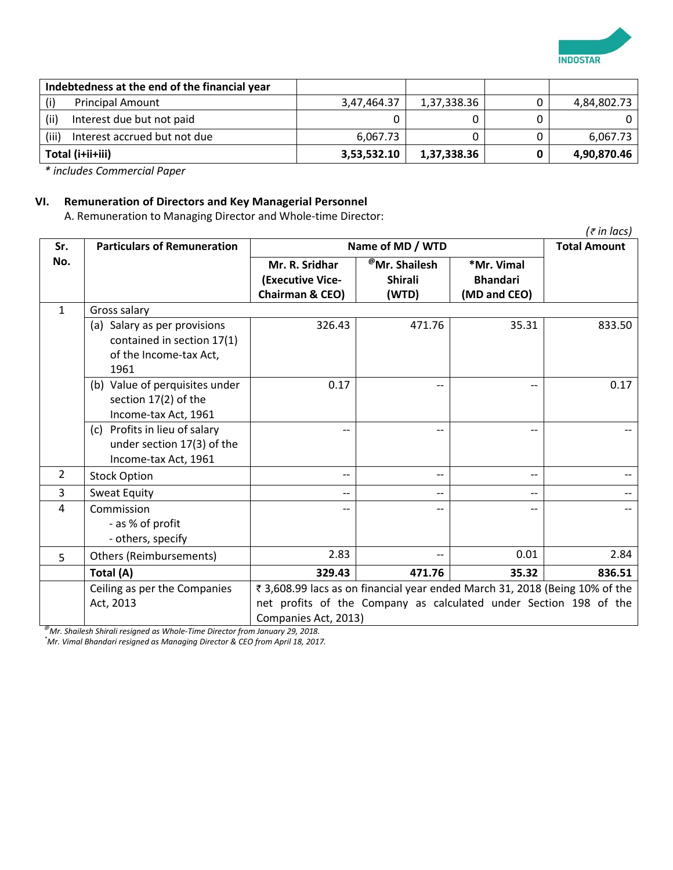

|       | Indebtedness at the end of the financial year |             |             |             |
|-------|-----------------------------------------------|-------------|-------------|-------------|
| (i)   | <b>Principal Amount</b>                       | 3,47,464.37 | 1,37,338.36 | 4,84,802.73 |
| (ii)  | Interest due but not paid                     |             |             |             |
| (iii) | Interest accrued but not due                  | 6,067.73    |             | 6,067.73    |
|       | Total (i+ii+iii)                              | 3,53,532.10 | 1,37,338.36 | 4,90,870.46 |

*\* includes Commercial Paper*

### **VI. Remuneration of Directors and Key Managerial Personnel**

A. Remuneration to Managing Director and Whole-time Director:

|                |                                                                                              |                                                                                                                                                                          |                                                      |                                               | $(\bar{\tau}$ in lacs) |  |
|----------------|----------------------------------------------------------------------------------------------|--------------------------------------------------------------------------------------------------------------------------------------------------------------------------|------------------------------------------------------|-----------------------------------------------|------------------------|--|
| Sr.            | <b>Particulars of Remuneration</b>                                                           | Name of MD / WTD                                                                                                                                                         | <b>Total Amount</b>                                  |                                               |                        |  |
| No.            |                                                                                              | Mr. R. Sridhar<br>(Executive Vice-<br>Chairman & CEO)                                                                                                                    | <sup>@</sup> Mr. Shailesh<br><b>Shirali</b><br>(WTD) | *Mr. Vimal<br><b>Bhandari</b><br>(MD and CEO) |                        |  |
| $\mathbf{1}$   | Gross salary                                                                                 |                                                                                                                                                                          |                                                      |                                               |                        |  |
|                | (a) Salary as per provisions<br>contained in section 17(1)<br>of the Income-tax Act,<br>1961 | 326.43                                                                                                                                                                   | 471.76                                               | 35.31                                         | 833.50                 |  |
|                | (b) Value of perquisites under<br>section 17(2) of the<br>Income-tax Act, 1961               | 0.17                                                                                                                                                                     |                                                      |                                               | 0.17                   |  |
|                | (c) Profits in lieu of salary<br>under section 17(3) of the<br>Income-tax Act, 1961          | --                                                                                                                                                                       |                                                      | --                                            |                        |  |
| $\overline{2}$ | <b>Stock Option</b>                                                                          | --                                                                                                                                                                       | $- -$                                                | $-$                                           |                        |  |
| 3              | Sweat Equity                                                                                 | $\qquad \qquad -$                                                                                                                                                        | $- -$                                                | $-$                                           |                        |  |
| 4              | Commission<br>- as % of profit<br>- others, specify                                          |                                                                                                                                                                          |                                                      |                                               |                        |  |
| 5              | Others (Reimbursements)                                                                      | 2.83                                                                                                                                                                     |                                                      | 0.01                                          | 2.84                   |  |
|                | Total (A)                                                                                    | 329.43                                                                                                                                                                   | 471.76                                               | 35.32                                         | 836.51                 |  |
|                | Ceiling as per the Companies<br>Act, 2013                                                    | ₹ 3,608.99 lacs as on financial year ended March 31, 2018 (Being 10% of the<br>net profits of the Company as calculated under Section 198 of the<br>Companies Act, 2013) |                                                      |                                               |                        |  |

*@Mr. Shailesh Shirali resigned as Whole-Time Director from January 29, 2018.*

*\*Mr. Vimal Bhandari resigned as Managing Director & CEO from April 18, 2017.*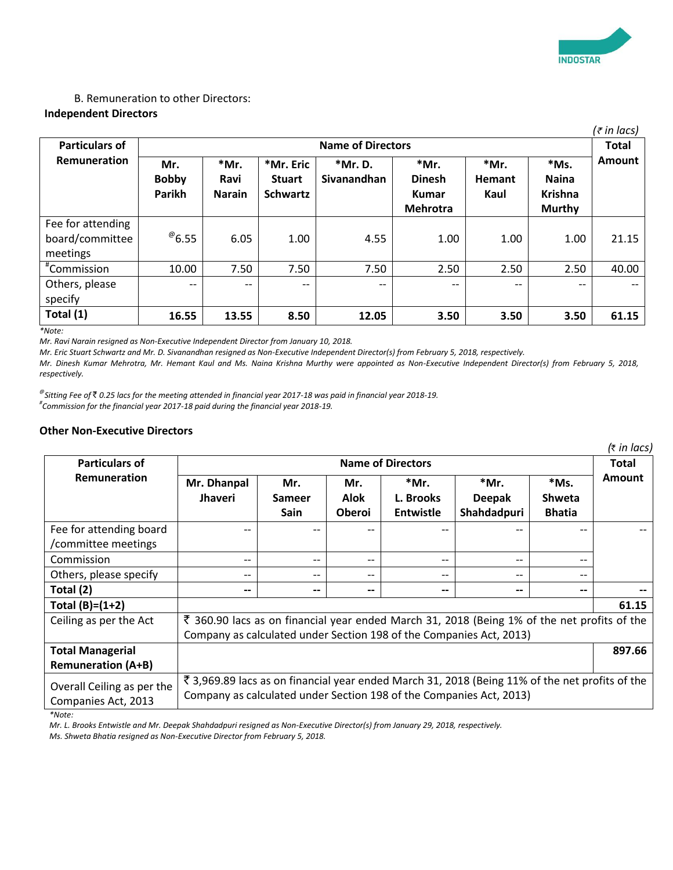

#### B. Remuneration to other Directors: **Independent Directors**

|                                                  |                               |                                 |                                               |                               |                                                          |                               |                                                  | (₹ in lacs)   |  |  |
|--------------------------------------------------|-------------------------------|---------------------------------|-----------------------------------------------|-------------------------------|----------------------------------------------------------|-------------------------------|--------------------------------------------------|---------------|--|--|
| <b>Particulars of</b>                            |                               |                                 | <b>Name of Directors</b><br><b>Total</b>      |                               |                                                          |                               |                                                  |               |  |  |
| <b>Remuneration</b>                              | Mr.<br><b>Bobby</b><br>Parikh | $*Mr.$<br>Ravi<br><b>Narain</b> | *Mr. Eric<br><b>Stuart</b><br><b>Schwartz</b> | *Mr. D.<br><b>Sivanandhan</b> | *Mr.<br><b>Dinesh</b><br><b>Kumar</b><br><b>Mehrotra</b> | *Mr.<br><b>Hemant</b><br>Kaul | *Ms.<br><b>Naina</b><br><b>Krishna</b><br>Murthy | <b>Amount</b> |  |  |
| Fee for attending<br>board/committee<br>meetings | $^{\circ}$ 6.55               | 6.05                            | 1.00                                          | 4.55                          | 1.00                                                     | 1.00                          | 1.00                                             | 21.15         |  |  |
| #Commission                                      | 10.00                         | 7.50                            | 7.50                                          | 7.50                          | 2.50                                                     | 2.50                          | 2.50                                             | 40.00         |  |  |
| Others, please<br>specify                        | $\qquad \qquad -$             | $\qquad \qquad -$               | $- -$                                         | --                            | --                                                       | --                            | $\overline{\phantom{m}}$                         | $- -$         |  |  |
| Total (1)                                        | 16.55                         | 13.55                           | 8.50                                          | 12.05                         | 3.50                                                     | 3.50                          | 3.50                                             | 61.15         |  |  |

*\*Note:*

*Mr. Ravi Narain resigned as Non-Executive Independent Director from January 10, 2018.* 

*Mr. Eric Stuart Schwartz and Mr. D. Sivanandhan resigned as Non-Executive Independent Director(s) from February 5, 2018, respectively.* 

*Mr. Dinesh Kumar Mehrotra, Mr. Hemant Kaul and Ms. Naina Krishna Murthy were appointed as Non-Executive Independent Director(s) from February 5, 2018, respectively.*

*@ Sitting Fee of* ` *0.25 lacs for the meeting attended in financial year 2017-18 was paid in financial year 2018-19. # Commission for the financial year 2017-18 paid during the financial year 2018-19.*

#### **Other Non-Executive Directors**

|                                                      |                                                                                                                                                                       |                                     |                              |                                |                                       |                                        | $($ ₹ in lacs)<br>Total |
|------------------------------------------------------|-----------------------------------------------------------------------------------------------------------------------------------------------------------------------|-------------------------------------|------------------------------|--------------------------------|---------------------------------------|----------------------------------------|-------------------------|
| <b>Particulars of</b>                                | <b>Name of Directors</b>                                                                                                                                              |                                     |                              |                                |                                       |                                        |                         |
| Remuneration                                         | Mr. Dhanpal<br><b>Jhaveri</b>                                                                                                                                         | Mr.<br><b>Sameer</b><br><b>Sain</b> | Mr.<br>Alok<br><b>Oberoi</b> | *Mr.<br>L. Brooks<br>Entwistle | *Mr.<br><b>Deepak</b><br>Shahdadpuri  | *Ms.<br><b>Shweta</b><br><b>Bhatia</b> | <b>Amount</b>           |
| Fee for attending board<br>/committee meetings       |                                                                                                                                                                       |                                     |                              |                                |                                       |                                        |                         |
| Commission                                           | $\hspace{0.05cm}$ – $\hspace{0.05cm}$                                                                                                                                 | --                                  | --                           | $- -$                          | $\hspace{0.05cm}$ – $\hspace{0.05cm}$ | --                                     |                         |
| Others, please specify                               | $\hspace{0.05cm}$ – $\hspace{0.05cm}$                                                                                                                                 | --                                  | --                           | $\qquad \qquad -$              | $-\,-$                                | --                                     |                         |
| Total (2)                                            | $- -$                                                                                                                                                                 | --                                  | --                           | --                             | $\overline{\phantom{m}}$              | --                                     |                         |
| Total $(B)=(1+2)$                                    |                                                                                                                                                                       |                                     |                              |                                |                                       |                                        | 61.15                   |
| Ceiling as per the Act                               | ₹ 360.90 lacs as on financial year ended March 31, 2018 (Being 1% of the net profits of the<br>Company as calculated under Section 198 of the Companies Act, 2013)    |                                     |                              |                                |                                       |                                        |                         |
| <b>Total Managerial</b><br><b>Remuneration (A+B)</b> |                                                                                                                                                                       |                                     |                              |                                |                                       |                                        | 897.66                  |
| Overall Ceiling as per the<br>Companies Act, 2013    | ₹ 3,969.89 lacs as on financial year ended March 31, 2018 (Being 11% of the net profits of the<br>Company as calculated under Section 198 of the Companies Act, 2013) |                                     |                              |                                |                                       |                                        |                         |

*\*Note:*

*Mr. L. Brooks Entwistle and Mr. Deepak Shahdadpuri resigned as Non-Executive Director(s) from January 29, 2018, respectively.*

*Ms. Shweta Bhatia resigned as Non-Executive Director from February 5, 2018.*